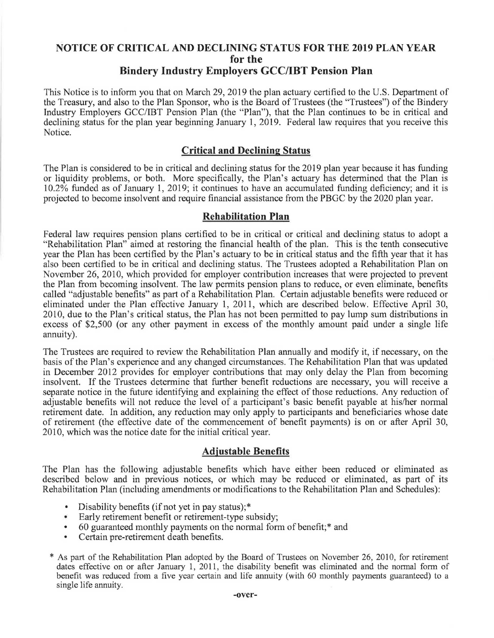# **NOTICE OF CRITICAL AND DECLINING STATUS FOR THE 2019 PLAN YEAR for the Bindery Industry Employers GCC/IBT Pension Plan**

This Notice is to inform you that on March 29, 2019 the plan actuary certified to the U.S. Department of the Treasury, and also to the Plan Sponsor, who is the Board of Trustees (the "Trustees") of the Bindery Industry Employers GCC/IBT Pension Plan (the "Plan"), that the Plan continues to be in critical and declining status for the plan year beginning January **1,** 2019. Federal law requires that you receive this Notice.

## **Critical and Declining Status**

The Plan is considered to be in critical and declining status for the 2019 plan year because it has funding or liquidity problems, or both. More specifically, the Plan's actuary has determined that the Plan is 10.2% funded as of January 1, 2019; it continues to have an accumulated funding deficiency; and it is projected to become insolvent and require financial assistance from the PBGC by the 2020 plan year.

## **Rehabilitation Plan**

Federal law requires pension plans certified to be in critical or critical and declining status to adopt a "Rehabilitation Plan" aimed at restoring the financial health of the plan. This is the tenth consecutive year the Plan has been certified by the Plan's actuary to be in critical status and the fifth year that it has also been certified to be in critical and declining status. The Trustees adopted a Rehabilitation Plan on November 26, 2010, which provided for employer contribution increases that were projected to prevent the Plan from becoming insolvent. The law permits pension plans to reduce, or even eliminate, benefits called "adjustable benefits" as part of a Rehabilitation Plan. Certain adjustable benefits were reduced or eliminated under the Plan effective January 1, 2011, which are described below. Effective April 30, 2010, due to the Plan's critical status, the Plan has not been permitted to pay lump sum distributions in excess of \$2,500 (or any other payment in excess of the monthly amount paid under a single life annuity).

The Trustees are required to review the Rehabilitation Plan annually and modify it, if necessary, on the basis of the Plan's experience and any changed circumstances. The Rehabilitation Plan that was updated in December 2012 provides for employer contributions that may only delay the Plan from becoming insolvent. If the Trustees determine that further benefit reductions are necessary, you will receive a separate notice in the future identifying and explaining the effect of those reductions. Any reduction of adjustable benefits will not reduce the level of a participant's basic benefit payable at his/her normal retirement date. In addition, any reduction may only apply to participants and beneficiaries whose date of retirement (the effective date of the commencement of benefit payments) is on or after April 30, 2010, which was the notice date for the initial critical year.

# **Adjustable Benefits**

The Plan has the following adjustable benefits which have either been reduced or eliminated as described below and in previous notices, or which may be reduced or eliminated, as part of its Rehabilitation Plan (including amendments or modifications to the Rehabilitation Plan and Schedules):

- Disability benefits (if not yet in pay status);\*
- Early retirement benefit or retirement-type subsidy;
- 60 guaranteed monthly payments on the normal form of benefit;\* and
- Certain pre-retirement death benefits.
- \* As part of the Rehabilitation Plan adopted by the Board of Trustees on November 26, 2010, for retirement dates effective on or after January 1, 2011, the disability benefit was eliminated and the normal form of benefit was reduced from a five year certain and life annuity (with 60 monthly payments guaranteed) to a single life annuity.